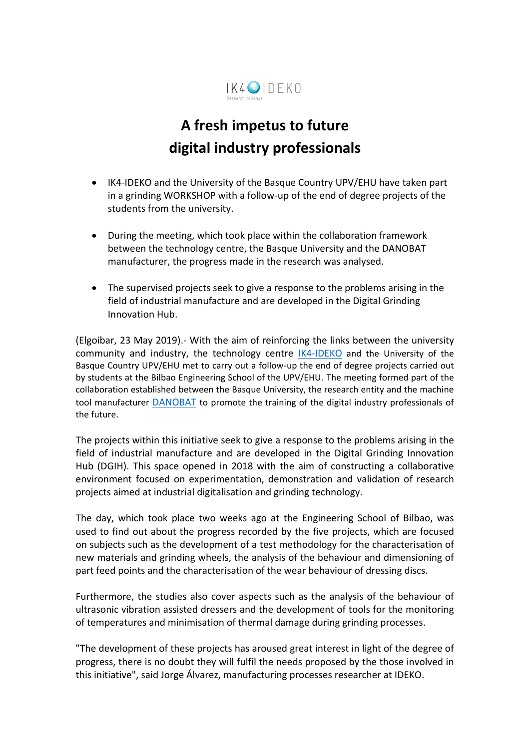

## **A fresh impetus to future digital industry professionals**

- IK4-IDEKO and the University of the Basque Country UPV/EHU have taken part in a grinding WORKSHOP with a follow-up of the end of degree projects of the students from the university.
- During the meeting, which took place within the collaboration framework between the technology centre, the Basque University and the DANOBAT manufacturer, the progress made in the research was analysed.
- The supervised projects seek to give a response to the problems arising in the field of industrial manufacture and are developed in the Digital Grinding Innovation Hub.

(Elgoibar, 23 May 2019).- With the aim of reinforcing the links between the university community and industry, the technology centre [IK4-IDEKO](https://www.ideko.es/en/home) and the University of the Basque Country UPV/EHU met to carry out a follow-up the end of degree projects carried out by students at the Bilbao Engineering School of the UPV/EHU. The meeting formed part of the collaboration established between the Basque University, the research entity and the machine tool manufacturer [DANOBAT](https://www.danobatgroup.com/en/danobat) to promote the training of the digital industry professionals of the future.

The projects within this initiative seek to give a response to the problems arising in the field of industrial manufacture and are developed in the Digital Grinding Innovation Hub (DGIH). This space opened in 2018 with the aim of constructing a collaborative environment focused on experimentation, demonstration and validation of research projects aimed at industrial digitalisation and grinding technology.

The day, which took place two weeks ago at the Engineering School of Bilbao, was used to find out about the progress recorded by the five projects, which are focused on subjects such as the development of a test methodology for the characterisation of new materials and grinding wheels, the analysis of the behaviour and dimensioning of part feed points and the characterisation of the wear behaviour of dressing discs.

Furthermore, the studies also cover aspects such as the analysis of the behaviour of ultrasonic vibration assisted dressers and the development of tools for the monitoring of temperatures and minimisation of thermal damage during grinding processes.

"The development of these projects has aroused great interest in light of the degree of progress, there is no doubt they will fulfil the needs proposed by the those involved in this initiative", said Jorge Álvarez, manufacturing processes researcher at IDEKO.